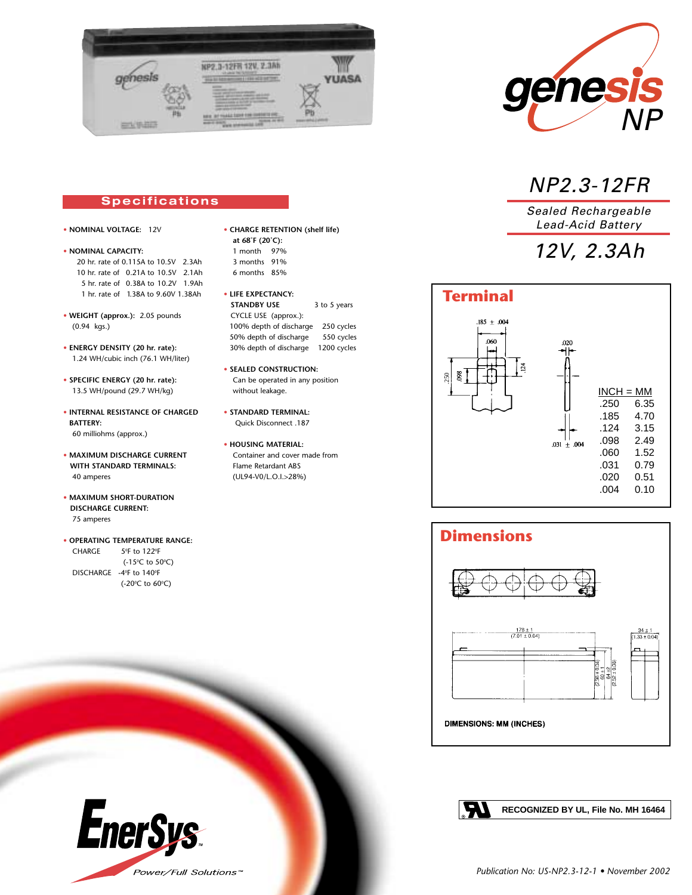



### NP2.3-12FR

Sealed Rechargeable Lead-Acid Battery

# 12V, 2.3Ah

### **Specifications**

- **• NOMINAL VOLTAGE:** 12V
- **• NOMINAL CAPACITY:** 20 hr. rate of 0.115A to 10.5V 2.3Ah 10 hr. rate of 0.21A to 10.5V 2.1Ah 5 hr. rate of 0.38A to 10.2V 1.9Ah 1 hr. rate of 1.38A to 9.60V 1.38Ah
- **WEIGHT (approx.):** 2.05 pounds (0.94 kgs.)
- **ENERGY DENSITY (20 hr. rate):** 1.24 WH/cubic inch (76.1 WH/liter)
- **SPECIFIC ENERGY (20 hr. rate):** 13.5 WH/pound (29.7 WH/kg)
- **INTERNAL RESISTANCE OF CHARGED BATTERY:**  60 milliohms (approx.)
- **MAXIMUM DISCHARGE CURRENT WITH STANDARD TERMINALS:**  40 amperes
- **MAXIMUM SHORT-DURATION DISCHARGE CURRENT:** 75 amperes

#### **• OPERATING TEMPERATURE RANGE:**   $CHARGE$ F to 122ºF (-15°C to 50°C)  $DISCHARGE -4°F$  to  $140°F$

(-20°C to 60°C)

**EnerSys** 

Power/Full Solutions™

- **CHARGE RETENTION (shelf life) at 68˚F (20˚C):** 1 month 97% 3 months 91% 6 months 85%
- **LIFE EXPECTANCY: STANDBY USE** 3 to 5 years CYCLE USE (approx.): 100% depth of discharge 250 cycles 50% depth of discharge 550 cycles 30% depth of discharge 1200 cycles
- **SEALED CONSTRUCTION:** Can be operated in any position without leakage.
- **STANDARD TERMINAL:** Quick Disconnect .187
- **HOUSING MATERIAL:** Container and cover made from Flame Retardant ABS (UL94-V0/L.O.I.>28%)

# **Terminal**







**RECOGNIZED BY UL, File No. MH 16464**